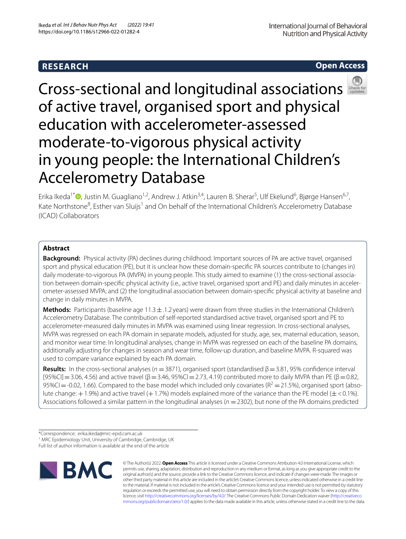# **RESEARCH**

**Open Access**

# Cross-sectionaland longitudinal associations of active travel, organised sport and physical education with accelerometer-assessed moderate-to-vigorous physical activity in young people: the International Children's Accelerometry Database

Erika Ikeda<sup>1\*</sup> <sup>(</sup>D.[,](http://orcid.org/0000-0001-6999-3918) Justin M. Guagliano<sup>1,2</sup>, Andrew J. Atkin<sup>3,4</sup>, Lauren B. Sherar<sup>5</sup>, Ulf Ekelund<sup>6</sup>, Bjørge Hansen<sup>6,7</sup>, Kate Northstone<sup>8</sup>, Esther van Sluijs<sup>1</sup> and On behalf of the International Children's Accelerometry Database (ICAD) Collaborators

# **Abstract**

**Background:** Physical activity (PA) declines during childhood. Important sources of PA are active travel, organised sport and physical education (PE), but it is unclear how these domain-specifc PA sources contribute to (changes in) daily moderate-to-vigorous PA (MVPA) in young people. This study aimed to examine (1) the cross-sectional association between domain-specifc physical activity (i.e., active travel, organised sport and PE) and daily minutes in accelerometer-assessed MVPA; and (2) the longitudinal association between domain-specifc physical activity at baseline and change in daily minutes in MVPA.

**Methods:** Participants (baseline age  $11.3 \pm 1.2$  years) were drawn from three studies in the International Children's Accelerometry Database. The contribution of self-reported standardised active travel, organised sport and PE to accelerometer-measured daily minutes in MVPA was examined using linear regression. In cross-sectional analyses, MVPA was regressed on each PA domain in separate models, adjusted for study, age, sex, maternal education, season, and monitor wear time. In longitudinal analyses, change in MVPA was regressed on each of the baseline PA domains, additionally adjusting for changes in season and wear time, follow-up duration, and baseline MVPA. R-squared was used to compare variance explained by each PA domain.

**Results:** In the cross-sectional analyses ( $n = 3871$ ), organised sport (standardised  $β = 3.81$ , 95% confidence interval  $[95\%CI] = 3.06, 4.56$ ) and active travel  $(β = 3.46, 95\% CI = 2.73, 4.19)$  contributed more to daily MVPA than PE  $(β = 0.82,$ 95%CI = -0.02, 1.66). Compared to the base model which included only covariates ( $R^2 = 21.5$ %), organised sport (absolute change:  $+1.9%$ ) and active travel (+1.7%) models explained more of the variance than the PE model ( $\pm$ <0.1%). Associations followed a similar pattern in the longitudinal analyses ( $n = 2302$ ), but none of the PA domains predicted

Full list of author information is available at the end of the article



© The Author(s) 2022. **Open Access** This article is licensed under a Creative Commons Attribution 4.0 International License, which permits use, sharing, adaptation, distribution and reproduction in any medium or format, as long as you give appropriate credit to the original author(s) and the source, provide a link to the Creative Commons licence, and indicate if changes were made. The images or other third party material in this article are included in the article's Creative Commons licence, unless indicated otherwise in a credit line to the material. If material is not included in the article's Creative Commons licence and your intended use is not permitted by statutory regulation or exceeds the permitted use, you will need to obtain permission directly from the copyright holder. To view a copy of this licence, visit [http://creativecommons.org/licenses/by/4.0/.](http://creativecommons.org/licenses/by/4.0/) The Creative Commons Public Domain Dedication waiver ([http://creativeco](http://creativecommons.org/publicdomain/zero/1.0/) [mmons.org/publicdomain/zero/1.0/](http://creativecommons.org/publicdomain/zero/1.0/)) applies to the data made available in this article, unless otherwise stated in a credit line to the data.

<sup>\*</sup>Correspondence: erika.ikeda@mrc-epid.cam.ac.uk

<sup>&</sup>lt;sup>1</sup> MRC Epidemiology Unit, University of Cambridge, Cambridge, UK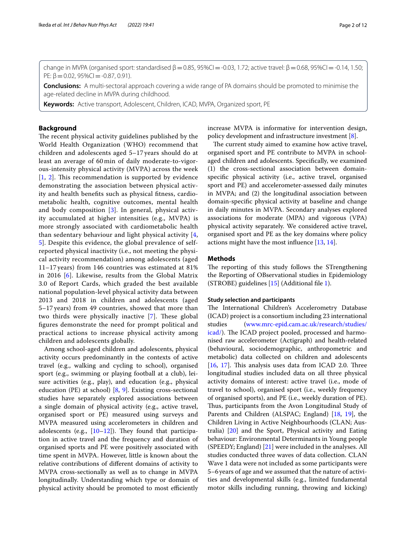change in MVPA (organised sport: standardised  $\beta$  = 0.85, 95%CI = -0.03, 1.72; active travel:  $\beta$  = 0.68, 95%CI = -0.14, 1.50; PE:  $\beta = 0.02$ , 95%CI = -0.87, 0.91).

**Conclusions:** A multi-sectoral approach covering a wide range of PA domains should be promoted to minimise the age-related decline in MVPA during childhood.

**Keywords:** Active transport, Adolescent, Children, ICAD, MVPA, Organized sport, PE

## **Background**

The recent physical activity guidelines published by the World Health Organization (WHO) recommend that children and adolescents aged 5–17 years should do at least an average of 60 min of daily moderate-to-vigorous-intensity physical activity (MVPA) across the week  $[1, 2]$  $[1, 2]$  $[1, 2]$  $[1, 2]$  $[1, 2]$ . This recommendation is supported by evidence demonstrating the association between physical activity and health benefts such as physical ftness, cardiometabolic health, cognitive outcomes, mental health and body composition [\[3](#page-9-2)]. In general, physical activity accumulated at higher intensities (e.g., MVPA) is more strongly associated with cardiometabolic health than sedentary behaviour and light physical activity [\[4](#page-9-3), [5\]](#page-9-4). Despite this evidence, the global prevalence of selfreported physical inactivity (i.e., not meeting the physical activity recommendation) among adolescents (aged 11–17 years) from 146 countries was estimated at 81% in 2016 [[6\]](#page-9-5). Likewise, results from the Global Matrix 3.0 of Report Cards, which graded the best available national population-level physical activity data between 2013 and 2018 in children and adolescents (aged 5–17 years) from 49 countries, showed that more than two thirds were physically inactive [[7](#page-10-0)]. These global fgures demonstrate the need for prompt political and practical actions to increase physical activity among children and adolescents globally.

Among school-aged children and adolescents, physical activity occurs predominantly in the contexts of active travel (e.g., walking and cycling to school), organised sport (e.g., swimming or playing football at a club), leisure activities (e.g., play), and education (e.g., physical education (PE) at school) [[8,](#page-10-1) [9](#page-10-2)]. Existing cross-sectional studies have separately explored associations between a single domain of physical activity (e.g., active travel, organised sport or PE) measured using surveys and MVPA measured using accelerometers in children and adolescents (e.g.,  $[10-12]$  $[10-12]$ ). They found that participation in active travel and the frequency and duration of organised sports and PE were positively associated with time spent in MVPA. However, little is known about the relative contributions of diferent domains of activity to MVPA cross-sectionally as well as to change in MVPA longitudinally. Understanding which type or domain of physical activity should be promoted to most efficiently increase MVPA is informative for intervention design, policy development and infrastructure investment [[8\]](#page-10-1).

The current study aimed to examine how active travel, organised sport and PE contribute to MVPA in schoolaged children and adolescents. Specifcally, we examined (1) the cross-sectional association between domainspecifc physical activity (i.e., active travel, organised sport and PE) and accelerometer-assessed daily minutes in MVPA; and (2) the longitudinal association between domain-specifc physical activity at baseline and change in daily minutes in MVPA. Secondary analyses explored associations for moderate (MPA) and vigorous (VPA) physical activity separately. We considered active travel, organised sport and PE as the key domains where policy actions might have the most infuence [[13,](#page-10-5) [14](#page-10-6)].

#### **Methods**

The reporting of this study follows the STrengthening the Reporting of OBservational studies in Epidemiology (STROBE) guidelines [[15\]](#page-10-7) (Additional fle [1\)](#page-8-0).

#### **Study selection and participants**

The International Children's Accelerometry Database (ICAD) project is a consortium including 23 international studies [\(www.mrc-epid.cam.ac.uk/research/studies/](http://www.mrc-epid.cam.ac.uk/research/studies/icad/) [icad/](http://www.mrc-epid.cam.ac.uk/research/studies/icad/)). The ICAD project pooled, processed and harmonised raw accelerometer (Actigraph) and health-related (behavioural, sociodemographic, anthropometric and metabolic) data collected on children and adolescents  $[16, 17]$  $[16, 17]$  $[16, 17]$  $[16, 17]$ . This analysis uses data from ICAD 2.0. Three longitudinal studies included data on all three physical activity domains of interest: active travel (i.e., mode of travel to school), organised sport (i.e., weekly frequency of organised sports), and PE (i.e., weekly duration of PE). Thus, participants from the Avon Longitudinal Study of Parents and Children (ALSPAC; England) [[18,](#page-10-10) [19\]](#page-10-11), the Children Living in Active Neighbourhoods (CLAN; Australia) [[20\]](#page-10-12) and the Sport, Physical activity and Eating behaviour: Environmental Determinants in Young people (SPEEDY; England) [[21\]](#page-10-13) were included in the analyses. All studies conducted three waves of data collection. CLAN Wave 1 data were not included as some participants were 5–6years of age and we assumed that the nature of activities and developmental skills (e.g., limited fundamental motor skills including running, throwing and kicking)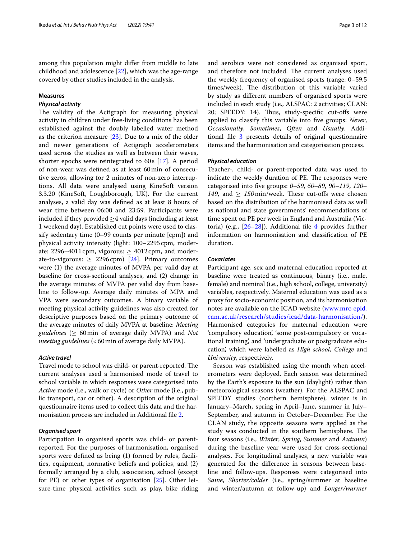among this population might difer from middle to late childhood and adolescence [[22](#page-10-14)], which was the age-range covered by other studies included in the analysis.

# **Measures**

# *Physical activity*

The validity of the Actigraph for measuring physical activity in children under free-living conditions has been established against the doubly labelled water method as the criterion measure [[23](#page-10-15)]. Due to a mix of the older and newer generations of Actigraph accelerometers used across the studies as well as between their waves, shorter epochs were reintegrated to 60s [[17\]](#page-10-9). A period of non-wear was defned as at least 60min of consecutive zeros, allowing for 2 minutes of non-zero interruptions. All data were analysed using KineSoft version 3.3.20 (KineSoft, Loughborough, UK). For the current analyses, a valid day was defned as at least 8 hours of wear time between 06:00 and 23:59. Participants were included if they provided  $\geq$ 4 valid days (including at least 1 weekend day). Established cut points were used to classify sedentary time (0–99 counts per minute [cpm]) and physical activity intensity (light: 100–2295cpm, moderate: 2296–4011 cpm, vigorous:  $\geq$  4012 cpm, and moderate-to-vigorous:  $\geq 2296$  cpm) [\[24](#page-10-16)]. Primary outcomes were (1) the average minutes of MVPA per valid day at baseline for cross-sectional analyses, and (2) change in the average minutes of MVPA per valid day from baseline to follow-up. Average daily minutes of MPA and VPA were secondary outcomes. A binary variable of meeting physical activity guidelines was also created for descriptive purposes based on the primary outcome of the average minutes of daily MVPA at baseline: *Meeting guidelines* ( $\geq 60$  min of average daily MVPA) and *Not meeting guidelines* (<60 min of average daily MVPA).

#### *Active travel*

Travel mode to school was child- or parent-reported. The current analyses used a harmonised mode of travel to school variable in which responses were categorised into *Active* mode (i.e., walk or cycle) or *Other* mode (i.e., public transport, car or other). A description of the original questionnaire items used to collect this data and the harmonisation process are included in Additional fle [2.](#page-8-1)

#### *Organised sport*

Participation in organised sports was child- or parentreported. For the purposes of harmonisation, organised sports were defned as being (1) formed by rules, facilities, equipment, normative beliefs and policies, and (2) formally arranged by a club, association, school (except for PE) or other types of organisation [[25](#page-10-17)]. Other leisure-time physical activities such as play, bike riding and aerobics were not considered as organised sport, and therefore not included. The current analyses used the weekly frequency of organised sports (range: 0–59.5 times/week). The distribution of this variable varied by study as diferent numbers of organised sports were included in each study (i.e., ALSPAC: 2 activities; CLAN: 20; SPEEDY: 14). Thus, study-specific cut-offs were applied to classify this variable into fve groups: *Never*, *Occasionally*, *Sometimes*, *Often* and *Usually*. Additional fle [3](#page-8-2) presents details of original questionnaire items and the harmonisation and categorisation process.

## *Physical education*

Teacher-, child- or parent-reported data was used to indicate the weekly duration of PE. The responses were categorised into fve groups: *0–59*, *60–89*, *90–119*, *120–*  $149$ , and  $> 150$  min/week. These cut-offs were chosen based on the distribution of the harmonised data as well as national and state governments' recommendations of time spent on PE per week in England and Australia (Victoria) (e.g.,  $[26-28]$  $[26-28]$ ). Additional file [4](#page-8-3) provides further information on harmonisation and classifcation of PE duration.

# *Covariates*

Participant age, sex and maternal education reported at baseline were treated as continuous, binary (i.e., male, female) and nominal (i.e., high school, college, university) variables, respectively. Maternal education was used as a proxy for socio-economic position, and its harmonisation notes are available on the ICAD website ([www.mrc-epid.](http://www.mrc-epid.cam.ac.uk/research/studies/icad/data-harmonisation/) [cam.ac.uk/research/studies/icad/data-harmonisation/\)](http://www.mrc-epid.cam.ac.uk/research/studies/icad/data-harmonisation/). Harmonised categories for maternal education were 'compulsory education', 'some post-compulsory or vocational training', and 'undergraduate or postgraduate education', which were labelled as *High school*, *College* and *University*, respectively.

Season was established using the month when accelerometers were deployed. Each season was determined by the Earth's exposure to the sun (daylight) rather than meteorological seasons (weather). For the ALSPAC and SPEEDY studies (northern hemisphere), winter is in January–March, spring in April–June, summer in July– September, and autumn in October–December. For the CLAN study, the opposite seasons were applied as the study was conducted in the southern hemisphere. The four seasons (i.e., *Winter*, *Spring*, *Summer* and *Autumn*) during the baseline year were used for cross-sectional analyses. For longitudinal analyses, a new variable was generated for the diference in seasons between baseline and follow-ups. Responses were categorised into *Same*, *Shorter/colder* (i.e., spring/summer at baseline and winter/autumn at follow-up) and *Longer/warmer*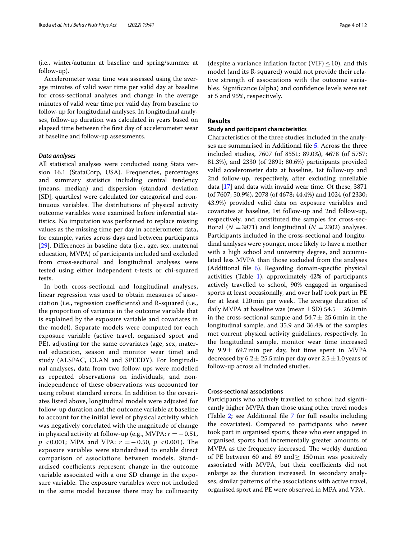(i.e., winter/autumn at baseline and spring/summer at follow-up).

Accelerometer wear time was assessed using the average minutes of valid wear time per valid day at baseline for cross-sectional analyses and change in the average minutes of valid wear time per valid day from baseline to follow-up for longitudinal analyses. In longitudinal analyses, follow-up duration was calculated in years based on elapsed time between the frst day of accelerometer wear at baseline and follow-up assessments.

#### *Data analyses*

All statistical analyses were conducted using Stata version 16.1 (StataCorp, USA). Frequencies, percentages and summary statistics including central tendency (means, median) and dispersion (standard deviation [SD], quartiles) were calculated for categorical and continuous variables. The distributions of physical activity outcome variables were examined before inferential statistics. No imputation was performed to replace missing values as the missing time per day in accelerometer data, for example, varies across days and between participants [[29\]](#page-10-20). Diferences in baseline data (i.e., age, sex, maternal education, MVPA) of participants included and excluded from cross-sectional and longitudinal analyses were tested using either independent t-tests or chi-squared tests.

In both cross-sectional and longitudinal analyses, linear regression was used to obtain measures of association (i.e., regression coefficients) and R-squared (i.e., the proportion of variance in the outcome variable that is explained by the exposure variable and covariates in the model). Separate models were computed for each exposure variable (active travel, organised sport and PE), adjusting for the same covariates (age, sex, maternal education, season and monitor wear time) and study (ALSPAC, CLAN and SPEEDY). For longitudinal analyses, data from two follow-ups were modelled as repeated observations on individuals, and nonindependence of these observations was accounted for using robust standard errors. In addition to the covariates listed above, longitudinal models were adjusted for follow-up duration and the outcome variable at baseline to account for the initial level of physical activity which was negatively correlated with the magnitude of change in physical activity at follow-up (e.g., MVPA:  $r = -0.51$ , *p* < 0.001; MPA and VPA: *r* = − 0.50, *p* < 0.001). The exposure variables were standardised to enable direct comparison of associations between models. Standardised coefficients represent change in the outcome variable associated with a one SD change in the exposure variable. The exposure variables were not included in the same model because there may be collinearity

(despite a variance inflation factor (VIF)  $\leq$  10), and this model (and its R-squared) would not provide their relative strength of associations with the outcome variables. Signifcance (alpha) and confdence levels were set at 5 and 95%, respectively.

# **Results**

## **Study and participant characteristics**

Characteristics of the three studies included in the analyses are summarised in Additional fle [5.](#page-8-4) Across the three included studies, 7607 (of 8551; 89.0%), 4678 (of 5757; 81.3%), and 2330 (of 2891; 80.6%) participants provided valid accelerometer data at baseline, 1st follow-up and 2nd follow-up, respectively, after excluding unreliable data [\[17\]](#page-10-9) and data with invalid wear time. Of these, 3871 (of 7607; 50.9%), 2078 (of 4678; 44.4%) and 1024 (of 2330; 43.9%) provided valid data on exposure variables and covariates at baseline, 1st follow-up and 2nd follow-up, respectively, and constituted the samples for cross-sectional ( $N = 3871$ ) and longitudinal ( $N = 2302$ ) analyses. Participants included in the cross-sectional and longitudinal analyses were younger, more likely to have a mother with a high school and university degree, and accumulated less MVPA than those excluded from the analyses (Additional file  $6$ ). Regarding domain-specific physical activities (Table [1](#page-4-0)), approximately 42% of participants actively travelled to school, 90% engaged in organised sports at least occasionally, and over half took part in PE for at least 120 min per week. The average duration of daily MVPA at baseline was (mean  $\pm$  SD) 54.5  $\pm$  26.0 min in the cross-sectional sample and  $54.7 \pm 25.6$  min in the longitudinal sample, and 35.9 and 36.4% of the samples met current physical activity guidelines, respectively. In the longitudinal sample, monitor wear time increased by  $9.9 \pm 69.7$  min per day, but time spent in MVPA decreased by  $6.2 \pm 25.5$  min per day over  $2.5 \pm 1.0$  years of follow-up across all included studies.

#### **Cross‑sectional associations**

Participants who actively travelled to school had signifcantly higher MVPA than those using other travel modes (Table [2](#page-5-0); see Additional fle [7](#page-8-6) for full results including the covariates). Compared to participants who never took part in organised sports, those who ever engaged in organised sports had incrementally greater amounts of MVPA as the frequency increased. The weekly duration of PE between 60 and 89 and  $\geq 150$  min was positively associated with MVPA, but their coefficients did not enlarge as the duration increased. In secondary analyses, similar patterns of the associations with active travel, organised sport and PE were observed in MPA and VPA.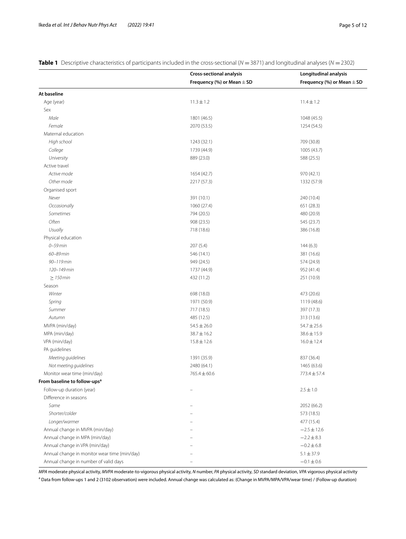|                                              | <b>Cross-sectional analysis</b> | Longitudinal analysis          |
|----------------------------------------------|---------------------------------|--------------------------------|
|                                              | Frequency (%) or Mean $\pm$ SD  | Frequency (%) or Mean $\pm$ SD |
| At baseline                                  |                                 |                                |
| Age (year)                                   | $11.3 \pm 1.2$                  | $11.4 \pm 1.2$                 |
| Sex                                          |                                 |                                |
| Male                                         | 1801 (46.5)                     | 1048 (45.5)                    |
| Female                                       | 2070 (53.5)                     | 1254 (54.5)                    |
| Maternal education                           |                                 |                                |
| High school                                  | 1243 (32.1)                     | 709 (30.8)                     |
| College                                      | 1739 (44.9)                     | 1005 (43.7)                    |
| University                                   | 889 (23.0)                      | 588 (25.5)                     |
| Active travel                                |                                 |                                |
| Active mode                                  | 1654 (42.7)                     | 970 (42.1)                     |
| Other mode                                   | 2217 (57.3)                     | 1332 (57.9)                    |
| Organised sport                              |                                 |                                |
| Never                                        | 391 (10.1)                      | 240 (10.4)                     |
| Occasionally                                 | 1060 (27.4)                     | 651 (28.3)                     |
| Sometimes                                    | 794 (20.5)                      | 480 (20.9)                     |
| Often                                        | 908 (23.5)                      | 545 (23.7)                     |
| Usually                                      | 718 (18.6)                      | 386 (16.8)                     |
| Physical education                           |                                 |                                |
| $0-59$ min                                   | 207(5.4)                        | 144(6.3)                       |
| 60-89 min                                    | 546 (14.1)                      | 381 (16.6)                     |
| 90-119 min                                   | 949 (24.5)                      | 574 (24.9)                     |
| 120-149 min                                  | 1737 (44.9)                     | 952 (41.4)                     |
| $\geq$ 150 min                               | 432 (11.2)                      | 251 (10.9)                     |
| Season                                       |                                 |                                |
| Winter                                       | 698 (18.0)                      | 473 (20.6)                     |
| Spring                                       | 1971 (50.9)                     | 1119 (48.6)                    |
| Summer                                       | 717 (18.5)                      | 397 (17.3)                     |
| Autumn                                       | 485 (12.5)                      | 313 (13.6)                     |
| MVPA (min/day)                               | $54.5 \pm 26.0$                 | $54.7 \pm 25.6$                |
| MPA (min/day)                                | $38.7 \pm 16.2$                 | $38.6 \pm 15.9$                |
| VPA (min/day)                                | $15.8 \pm 12.6$                 | $16.0 \pm 12.4$                |
| PA quidelines                                |                                 |                                |
| Meeting guidelines                           | 1391 (35.9)                     | 837 (36.4)                     |
| Not meeting guidelines                       | 2480 (64.1)                     | 1465 (63.6)                    |
| Monitor wear time (min/day)                  | 765.4 ± 60.6                    | $773.4 \pm 57.4$               |
| From baseline to follow-ups <sup>a</sup>     |                                 |                                |
| Follow-up duration (year)                    |                                 | $2.5 \pm 1.0$                  |
| Difference in seasons                        |                                 |                                |
| Same                                         |                                 | 2052 (66.2)                    |
| Shorter/colder                               |                                 | 573 (18.5)                     |
| Longer/warmer                                |                                 | 477 (15.4)                     |
| Annual change in MVPA (min/day)              |                                 | $-2.5 \pm 12.6$                |
| Annual change in MPA (min/day)               |                                 | $-2.2 \pm 8.3$                 |
| Annual change in VPA (min/day)               |                                 | $-0.2 \pm 6.8$                 |
| Annual change in monitor wear time (min/day) |                                 | $5.1 \pm 37.9$                 |
| Annual change in number of valid days        |                                 | $-0.1 \pm 0.6$                 |

<span id="page-4-0"></span>**Table 1** Descriptive characteristics of participants included in the cross-sectional (*N* = 3871) and longitudinal analyses (*N* = 2302)

*MPA* moderate physical activity, *MVPA* moderate-to-vigorous physical activity, *N* number, *PA* physical activity, *SD* standard deviation, *VPA* vigorous physical activity a Data from follow-ups 1 and 2 (3102 observation) were included. Annual change was calculated as: (Change in MVPA/MPA/VPA/wear time) / (Follow-up duration)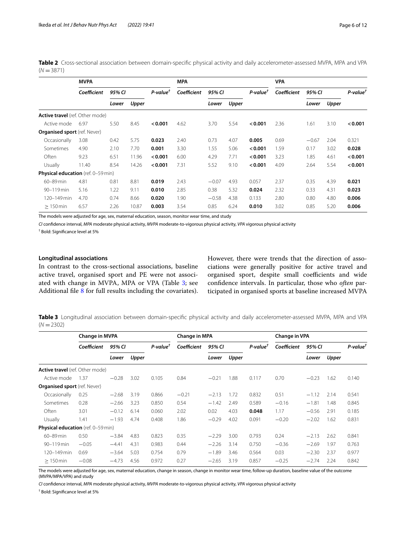<span id="page-5-0"></span>**Table 2** Cross-sectional association between domain-specifc physical activity and daily accelerometer-assessed MVPA, MPA and VPA  $(N = 3871)$ 

|                                           | <b>MVPA</b> |        |                         | <b>MPA</b>  |        |         | <b>VPA</b>           |             |        |         |                         |         |
|-------------------------------------------|-------------|--------|-------------------------|-------------|--------|---------|----------------------|-------------|--------|---------|-------------------------|---------|
|                                           | Coefficient | 95% CI | $P$ -value <sup>†</sup> | Coefficient | 95% CI |         | P-value <sup>†</sup> | Coefficient | 95% CI |         | $P$ -value $^{\dagger}$ |         |
|                                           |             | Lower  | Upper                   |             |        | Lower   | Upper                |             |        | Lower   | Upper                   |         |
| <b>Active travel</b> (ref. Other mode)    |             |        |                         |             |        |         |                      |             |        |         |                         |         |
| Active mode                               | 6.97        | 5.50   | 8.45                    | < 0.001     | 4.62   | 3.70    | 5.54                 | < 0.001     | 2.36   | 1.61    | 3.10                    | < 0.001 |
| <b>Organised sport</b> (ref. Never)       |             |        |                         |             |        |         |                      |             |        |         |                         |         |
| Occasionally                              | 3.08        | 0.42   | 5.75                    | 0.023       | 2.40   | 0.73    | 4.07                 | 0.005       | 0.69   | $-0.67$ | 2.04                    | 0.321   |
| Sometimes                                 | 4.90        | 2.10   | 7.70                    | 0.001       | 3.30   | 1.55    | 5.06                 | < 0.001     | 1.59   | 0.17    | 3.02                    | 0.028   |
| Often                                     | 9.23        | 6.51   | 11.96                   | < 0.001     | 6.00   | 4.29    | 7.71                 | < 0.001     | 3.23   | 1.85    | 4.61                    | < 0.001 |
| Usually                                   | 11.40       | 8.54   | 14.26                   | < 0.001     | 7.31   | 5.52    | 9.10                 | < 0.001     | 4.09   | 2.64    | 5.54                    | < 0.001 |
| <b>Physical education</b> (ref. 0-59 min) |             |        |                         |             |        |         |                      |             |        |         |                         |         |
| 60-89 min                                 | 4.81        | 0.81   | 8.81                    | 0.019       | 2.43   | $-0.07$ | 4.93                 | 0.057       | 2.37   | 0.35    | 4.39                    | 0.021   |
| 90-119 min                                | 5.16        | 1.22   | 9.11                    | 0.010       | 2.85   | 0.38    | 5.32                 | 0.024       | 2.32   | 0.33    | 4.31                    | 0.023   |
| 120-149 min                               | 4.70        | 0.74   | 8.66                    | 0.020       | 1.90   | $-0.58$ | 4.38                 | 0.133       | 2.80   | 0.80    | 4.80                    | 0.006   |
| $>150$ min                                | 6.57        | 2.26   | 10.87                   | 0.003       | 3.54   | 0.85    | 6.24                 | 0.010       | 3.02   | 0.85    | 5.20                    | 0.006   |

The models were adjusted for age, sex, maternal education, season, monitor wear time, and study

*CI* confdence interval, *MPA* moderate physical activity, *MVPA* moderate-to-vigorous physical activity, *VPA* vigorous physical activity

† Bold: Signifcance level at 5%

#### **Longitudinal associations**

In contrast to the cross-sectional associations, baseline active travel, organised sport and PE were not associ-ated with change in MVPA, MPA or VPA (Table [3;](#page-5-1) see Additional fle [8](#page-8-7) for full results including the covariates). However, there were trends that the direction of associations were generally positive for active travel and organised sport, despite small coefficients and wide confdence intervals. In particular, those who *often* participated in organised sports at baseline increased MVPA

<span id="page-5-1"></span>**Table 3** Longitudinal association between domain-specifc physical activity and daily accelerometer-assessed MVPA, MPA and VPA  $(N = 2302)$ 

|                                           | <b>Change in MVPA</b> |         |       | <b>Change in MPA</b>    |             |         |       | Change in VPA           |             |         |       |                         |
|-------------------------------------------|-----------------------|---------|-------|-------------------------|-------------|---------|-------|-------------------------|-------------|---------|-------|-------------------------|
|                                           | Coefficient           | 95% CI  |       | $P$ -value <sup>†</sup> | Coefficient | 95% CI  |       | $P$ -value <sup>†</sup> | Coefficient | 95% CI  |       | $P$ -value $^{\dagger}$ |
|                                           |                       | Lower   | Upper |                         |             | Lower   | Upper |                         |             | Lower   | Upper |                         |
| <b>Active travel</b> (ref. Other mode)    |                       |         |       |                         |             |         |       |                         |             |         |       |                         |
| Active mode                               | 1.37                  | $-0.28$ | 3.02  | 0.105                   | 0.84        | $-0.21$ | 1.88  | 0.117                   | 0.70        | $-0.23$ | 1.62  | 0.140                   |
| <b>Organised sport</b> (ref. Never)       |                       |         |       |                         |             |         |       |                         |             |         |       |                         |
| Occasionally                              | 0.25                  | $-2.68$ | 3.19  | 0.866                   | $-0.21$     | $-2.13$ | 1.72  | 0.832                   | 0.51        | $-1.12$ | 2.14  | 0.541                   |
| Sometimes                                 | 0.28                  | $-2.66$ | 3.23  | 0.850                   | 0.54        | $-1.42$ | 2.49  | 0.589                   | $-0.16$     | $-1.81$ | 1.48  | 0.845                   |
| Often                                     | 3.01                  | $-0.12$ | 6.14  | 0.060                   | 2.02        | 0.02    | 4.03  | 0.048                   | 1.17        | $-0.56$ | 2.91  | 0.185                   |
| Usually                                   | 1.41                  | $-1.93$ | 4.74  | 0.408                   | 1.86        | $-0.29$ | 4.02  | 0.091                   | $-0.20$     | $-2.02$ | 1.62  | 0.831                   |
| <b>Physical education</b> (ref. 0-59 min) |                       |         |       |                         |             |         |       |                         |             |         |       |                         |
| 60-89 min                                 | 0.50                  | $-3.84$ | 4.83  | 0.823                   | 0.35        | $-2.29$ | 3.00  | 0.793                   | 0.24        | $-2.13$ | 2.62  | 0.841                   |
| 90-119 min                                | $-0.05$               | $-4.41$ | 4.31  | 0.983                   | 0.44        | $-2.26$ | 3.14  | 0.750                   | $-0.36$     | $-2.69$ | 1.97  | 0.763                   |
| 120-149 min                               | 0.69                  | $-3.64$ | 5.03  | 0.754                   | 0.79        | $-1.89$ | 3.46  | 0.564                   | 0.03        | $-2.30$ | 2.37  | 0.977                   |
| $>150$ min                                | $-0.08$               | $-4.73$ | 4.56  | 0.972                   | 0.27        | $-2.65$ | 3.19  | 0.857                   | $-0.25$     | $-2.74$ | 2.24  | 0.842                   |

The models were adjusted for age, sex, maternal education, change in season, change in monitor wear time, follow-up duration, baseline value of the outcome (MVPA/MPA/VPA) and study

*CI* confdence interval, *MPA* moderate physical activity, *MVPA* moderate-to-vigorous physical activity, *VPA* vigorous physical activity

† Bold: Signifcance level at 5%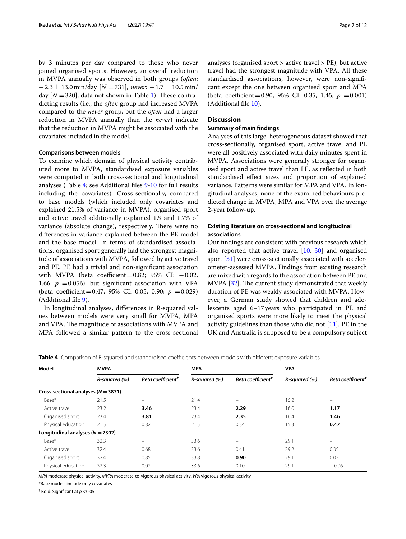by 3 minutes per day compared to those who never joined organised sports. However, an overall reduction in MVPA annually was observed in both groups (*often*: −2.3± 13.0min/day [*N* =731], *never*: −1.7± 10.5min/ day  $[N = 320]$ ; data not shown in Table [1\)](#page-4-0). These contradicting results (i.e., the *often* group had increased MVPA compared to the *never* group, but the *often* had a larger reduction in MVPA annually than the *never*) indicate that the reduction in MVPA might be associated with the covariates included in the model.

#### **Comparisons between models**

To examine which domain of physical activity contributed more to MVPA, standardised exposure variables were computed in both cross-sectional and longitudinal analyses (Table [4](#page-6-0); see Additional fles [9](#page-8-8)[-10](#page-8-9) for full results including the covariates). Cross-sectionally, compared to base models (which included only covariates and explained 21.5% of variance in MVPA), organised sport and active travel additionally explained 1.9 and 1.7% of variance (absolute change), respectively. There were no diferences in variance explained between the PE model and the base model. In terms of standardised associations, organised sport generally had the strongest magnitude of associations with MVPA, followed by active travel and PE. PE had a trivial and non-signifcant association with MVPA (beta coefficient=0.82; 95% CI:  $-0.02$ , 1.66;  $p = 0.056$ , but significant association with VPA (beta coefficient=0.47, 95% CI: 0.05, 0.90;  $p = 0.029$ ) (Additional fle [9](#page-8-8)).

In longitudinal analyses, diferences in R-squared values between models were very small for MVPA, MPA and VPA. The magnitude of associations with MVPA and MPA followed a similar pattern to the cross-sectional analyses (organised sport > active travel > PE), but active travel had the strongest magnitude with VPA. All these standardised associations, however, were non-signifcant except the one between organised sport and MPA (beta coefficient=0.90, 95% CI: 0.35, 1.45;  $p = 0.001$ ) (Additional fle [10](#page-8-9)).

# **Discussion**

#### **Summary of main fndings**

Analyses of this large, heterogeneous dataset showed that cross-sectionally, organised sport, active travel and PE were all positively associated with daily minutes spent in MVPA. Associations were generally stronger for organised sport and active travel than PE, as refected in both standardised efect sizes and proportion of explained variance. Patterns were similar for MPA and VPA. In longitudinal analyses, none of the examined behaviours predicted change in MVPA, MPA and VPA over the average 2-year follow-up.

# **Existing literature on cross‑sectional and longitudinal associations**

Our fndings are consistent with previous research which also reported that active travel [[10,](#page-10-3) [30](#page-10-21)] and organised sport [\[31\]](#page-10-22) were cross-sectionally associated with accelerometer-assessed MVPA. Findings from existing research are mixed with regards to the association between PE and MVPA [[32](#page-10-23)]. The current study demonstrated that weekly duration of PE was weakly associated with MVPA. However, a German study showed that children and adolescents aged 6–17years who participated in PE and organised sports were more likely to meet the physical activity guidelines than those who did not [\[11\]](#page-10-24). PE in the UK and Australia is supposed to be a compulsory subject

<span id="page-6-0"></span>

|  |  | Table 4 Comparison of R-squared and standardised coefficients between models with different exposure variables |  |  |
|--|--|----------------------------------------------------------------------------------------------------------------|--|--|
|  |  |                                                                                                                |  |  |

| Model                                   | <b>MVPA</b>   |                               | <b>MPA</b>    |                             | <b>VPA</b>    |                               |  |
|-----------------------------------------|---------------|-------------------------------|---------------|-----------------------------|---------------|-------------------------------|--|
|                                         | R-squared (%) | Beta coefficient <sup>†</sup> | R-squared (%) | Beta coefficient $^\dagger$ | R-squared (%) | Beta coefficient <sup>†</sup> |  |
| Cross-sectional analyses ( $N = 3871$ ) |               |                               |               |                             |               |                               |  |
| Base*                                   | 21.5          | $\equiv$                      | 21.4          | $\equiv$                    | 15.2          | $\overline{\phantom{a}}$      |  |
| Active travel                           | 23.2          | 3.46                          | 23.4          | 2.29                        | 16.0          | 1.17                          |  |
| Organised sport                         | 23.4          | 3.81                          | 23.4          | 2.35                        | 16.4          | 1.46                          |  |
| Physical education                      | 21.5          | 0.82                          | 21.5          | 0.34                        | 15.3          | 0.47                          |  |
| Longitudinal analyses $(N = 2302)$      |               |                               |               |                             |               |                               |  |
| Base*                                   | 32.3          | $\equiv$                      | 33.6          | $\overline{\phantom{m}}$    | 29.1          | $\qquad \qquad =$             |  |
| Active travel                           | 32.4          | 0.68                          | 33.6          | 0.41                        | 29.2          | 0.35                          |  |
| Organised sport                         | 32.4          | 0.85                          | 33.8          | 0.90                        | 29.1          | 0.03                          |  |
| Physical education                      | 32.3          | 0.02                          | 33.6          | 0.10                        | 29.1          | $-0.06$                       |  |

*MPA* moderate physical activity, *MVPA* moderate-to-vigorous physical activity, *VPA* vigorous physical activity

\*Base models include only covariates

† Bold: Signifcant at *p* <0.05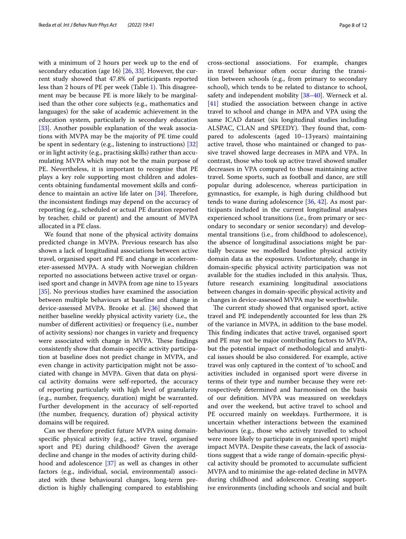with a minimum of 2 hours per week up to the end of secondary education (age 16) [\[26](#page-10-18), [33](#page-10-25)]. However, the current study showed that 47.8% of participants reported less than 2 hours of PE per week (Table [1](#page-4-0)). This disagreement may be because PE is more likely to be marginalised than the other core subjects (e.g., mathematics and languages) for the sake of academic achievement in the education system, particularly in secondary education [[33\]](#page-10-25). Another possible explanation of the weak associations with MVPA may be the majority of PE time could be spent in sedentary (e.g., listening to instructions) [[32](#page-10-23)] or in light activity (e.g., practising skills) rather than accumulating MVPA which may not be the main purpose of PE. Nevertheless, it is important to recognise that PE plays a key role supporting most children and adolescents obtaining fundamental movement skills and confdence to maintain an active life later on  $[34]$ . Therefore, the inconsistent fndings may depend on the accuracy of reporting (e.g., scheduled or actual PE duration reported by teacher, child or parent) and the amount of MVPA allocated in a PE class.

We found that none of the physical activity domains predicted change in MVPA. Previous research has also shown a lack of longitudinal associations between active travel, organised sport and PE and change in accelerometer-assessed MVPA. A study with Norwegian children reported no associations between active travel or organised sport and change in MVPA from age nine to 15 years [[35\]](#page-10-27). No previous studies have examined the association between multiple behaviours at baseline and change in device-assessed MVPA. Brooke et al. [[36\]](#page-10-28) showed that neither baseline weekly physical activity variety (i.e., the number of diferent activities) or frequency (i.e., number of activity sessions) nor changes in variety and frequency were associated with change in MVPA. These findings consistently show that domain-specifc activity participation at baseline does not predict change in MVPA, and even change in activity participation might not be associated with change in MVPA. Given that data on physical activity domains were self-reported, the accuracy of reporting particularly with high level of granularity (e.g., number, frequency, duration) might be warranted. Further development in the accuracy of self-reported (the number, frequency, duration of) physical activity domains will be required.

Can we therefore predict future MVPA using domainspecifc physical activity (e.g., active travel, organised sport and PE) during childhood? Given the average decline and change in the modes of activity during childhood and adolescence [\[37](#page-10-29)] as well as changes in other factors (e.g., individual, social, environmental) associated with these behavioural changes, long-term prediction is highly challenging compared to establishing

cross-sectional associations. For example, changes in travel behaviour often occur during the transition between schools (e.g., from primary to secondary school), which tends to be related to distance to school, safety and independent mobility [\[38](#page-10-30)[–40](#page-10-31)]. Werneck et al. [[41\]](#page-10-32) studied the association between change in active travel to school and change in MPA and VPA using the same ICAD dataset (six longitudinal studies including ALSPAC, CLAN and SPEEDY). They found that, compared to adolescents (aged 10–13years) maintaining active travel, those who maintained or changed to passive travel showed large decreases in MPA and VPA. In contrast, those who took up active travel showed smaller decreases in VPA compared to those maintaining active travel. Some sports, such as football and dance, are still popular during adolescence, whereas participation in gymnastics, for example, is high during childhood but tends to wane during adolescence [\[36,](#page-10-28) [42\]](#page-10-33). As most participants included in the current longitudinal analyses experienced school transitions (i.e., from primary or secondary to secondary or senior secondary) and developmental transitions (i.e., from childhood to adolescence), the absence of longitudinal associations might be partially because we modelled baseline physical activity domain data as the exposures. Unfortunately, change in domain-specifc physical activity participation was not available for the studies included in this analysis. Thus, future research examining longitudinal associations between changes in domain-specifc physical activity and changes in device-assessed MVPA may be worthwhile.

The current study showed that organised sport, active travel and PE independently accounted for less than 2% of the variance in MVPA, in addition to the base model. This finding indicates that active travel, organised sport and PE may not be major contributing factors to MVPA, but the potential impact of methodological and analytical issues should be also considered. For example, active travel was only captured in the context of 'to school', and activities included in organised sport were diverse in terms of their type and number because they were retrospectively determined and harmonised on the basis of our defnition. MVPA was measured on weekdays and over the weekend, but active travel to school and PE occurred mainly on weekdays. Furthermore, it is uncertain whether interactions between the examined behaviours (e.g., those who actively travelled to school were more likely to participate in organised sport) might impact MVPA. Despite these caveats, the lack of associations suggest that a wide range of domain-specifc physical activity should be promoted to accumulate sufficient MVPA and to minimise the age-related decline in MVPA during childhood and adolescence. Creating supportive environments (including schools and social and built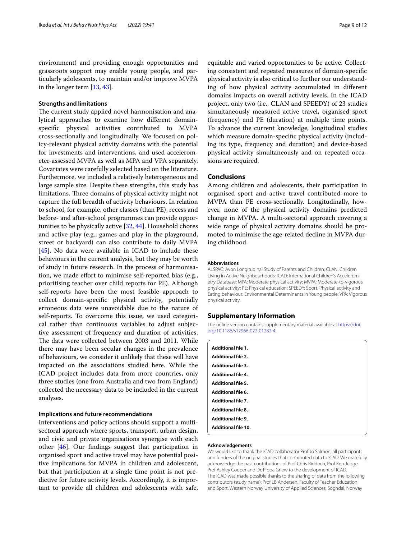environment) and providing enough opportunities and grassroots support may enable young people, and particularly adolescents, to maintain and/or improve MVPA in the longer term [\[13,](#page-10-5) [43](#page-11-0)].

#### **Strengths and limitations**

The current study applied novel harmonisation and analytical approaches to examine how diferent domainspecifc physical activities contributed to MVPA cross-sectionally and longitudinally. We focused on policy-relevant physical activity domains with the potential for investments and interventions, and used accelerometer-assessed MVPA as well as MPA and VPA separately. Covariates were carefully selected based on the literature. Furthermore, we included a relatively heterogeneous and large sample size. Despite these strengths, this study has limitations. Three domains of physical activity might not capture the full breadth of activity behaviours. In relation to school, for example, other classes (than PE), recess and before- and after-school programmes can provide opportunities to be physically active [[32](#page-10-23), [44\]](#page-11-1). Household chores and active play (e.g., games and play in the playground, street or backyard) can also contribute to daily MVPA [[45\]](#page-11-2). No data were available in ICAD to include these behaviours in the current analysis, but they may be worth of study in future research. In the process of harmonisation, we made efort to minimise self-reported bias (e.g., prioritising teacher over child reports for PE). Although self-reports have been the most feasible approach to collect domain-specifc physical activity, potentially erroneous data were unavoidable due to the nature of self-reports. To overcome this issue, we used categorical rather than continuous variables to adjust subjective assessment of frequency and duration of activities. The data were collected between 2003 and 2011. While there may have been secular changes in the prevalence of behaviours, we consider it unlikely that these will have impacted on the associations studied here. While the ICAD project includes data from more countries, only three studies (one from Australia and two from England) collected the necessary data to be included in the current analyses.

#### **Implications and future recommendations**

Interventions and policy actions should support a multisectoral approach where sports, transport, urban design, and civic and private organisations synergise with each other [\[46\]](#page-11-3). Our fndings suggest that participation in organised sport and active travel may have potential positive implications for MVPA in children and adolescent, but that participation at a single time point is not predictive for future activity levels. Accordingly, it is important to provide all children and adolescents with safe,

equitable and varied opportunities to be active. Collecting consistent and repeated measures of domain-specifc physical activity is also critical to further our understanding of how physical activity accumulated in diferent domains impacts on overall activity levels. In the ICAD project, only two (i.e., CLAN and SPEEDY) of 23 studies simultaneously measured active travel, organised sport (frequency) and PE (duration) at multiple time points. To advance the current knowledge, longitudinal studies which measure domain-specifc physical activity (including its type, frequency and duration) and device-based physical activity simultaneously and on repeated occasions are required.

# **Conclusions**

Among children and adolescents, their participation in organised sport and active travel contributed more to MVPA than PE cross-sectionally. Longitudinally, however, none of the physical activity domains predicted change in MVPA. A multi-sectoral approach covering a wide range of physical activity domains should be promoted to minimise the age-related decline in MVPA during childhood.

#### **Abbreviations**

ALSPAC: Avon Longitudinal Study of Parents and Children; CLAN: Children Living in Active Neighbourhoods; ICAD: International Children's Accelerometry Database; MPA: Moderate physical activity; MVPA: Moderate-to-vigorous physical activity; PE: Physical education; SPEEDY: Sport, Physical activity and Eating behaviour: Environmental Determinants in Young people; VPA: Vigorous physical activity.

#### **Supplementary Information**

The online version contains supplementary material available at [https://doi.](https://doi.org/10.1186/s12966-022-01282-4) [org/10.1186/s12966-022-01282-4](https://doi.org/10.1186/s12966-022-01282-4).

<span id="page-8-6"></span><span id="page-8-5"></span><span id="page-8-4"></span><span id="page-8-3"></span><span id="page-8-2"></span><span id="page-8-1"></span><span id="page-8-0"></span>

| Additional file 1.         |  |  |
|----------------------------|--|--|
| <b>Additional file 2.</b>  |  |  |
| <b>Additional file 3.</b>  |  |  |
| <b>Additional file 4.</b>  |  |  |
| <b>Additional file 5.</b>  |  |  |
| Additional file 6.         |  |  |
| <b>Additional file 7.</b>  |  |  |
| <b>Additional file 8.</b>  |  |  |
| <b>Additional file 9.</b>  |  |  |
| <b>Additional file 10.</b> |  |  |

#### <span id="page-8-9"></span><span id="page-8-8"></span><span id="page-8-7"></span>**Acknowledgements**

We would like to thank the ICAD collaborator Prof Jo Salmon, all participants and funders of the original studies that contributed data to ICAD. We gratefully acknowledge the past contributions of Prof Chris Riddoch, Prof Ken Judge, Prof Ashley Cooper and Dr. Pippa Griew to the development of ICAD. The ICAD was made possible thanks to the sharing of data from the following contributors (study name): Prof LB Andersen, Faculty of Teacher Education and Sport, Western Norway University of Applied Sciences, Sogndal, Norway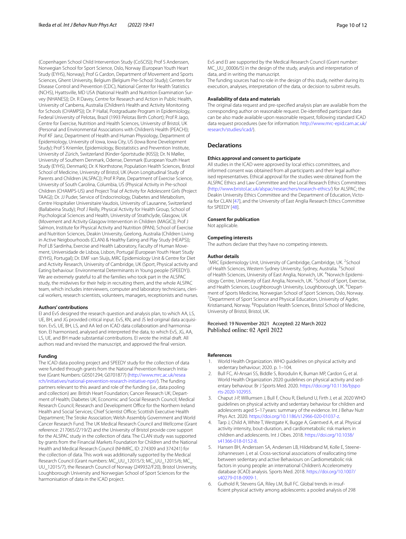(Copenhagen School Child Intervention Study (CoSCIS)); Prof S Anderssen, Norwegian School for Sport Science, Oslo, Norway (European Youth Heart Study (EYHS), Norway); Prof G Cardon, Department of Movement and Sports Sciences, Ghent University, Belgium (Belgium Pre-School Study); Centers for Disease Control and Prevention (CDC), National Center for Health Statistics (NCHS), Hyattsville, MD USA (National Health and Nutrition Examination Survey (NHANES)); Dr. R Davey, Centre for Research and Action in Public Health, University of Canberra, Australia (Children's Health and Activity Monitoring for Schools (CHAMPS)); Dr. P Hallal, Postgraduate Program in Epidemiology, Federal University of Pelotas, Brazil (1993 Pelotas Birth Cohort); Prof R Jago, Centre for Exercise, Nutrition and Health Sciences, University of Bristol, UK (Personal and Environmental Associations with Children's Health (PEACH)); Prof KF Janz, Department of Health and Human Physiology, Department of Epidemiology, University of Iowa, Iowa City, US (Iowa Bone Development Study); Prof S Kriemler, Epidemiology, Biostatistics and Prevention Institute, University of Zürich, Switzerland (Kinder-Sportstudie (KISS)); Dr. N Møller, University of Southern Denmark, Odense, Denmark (European Youth Heart Study (EYHS), Denmark); Dr. K Northstone, Population Health Sciences, Bristol School of Medicine, University of Bristol, UK (Avon Longitudinal Study of Parents and Children (ALSPAC)); Prof R Pate, Department of Exercise Science, University of South Carolina, Columbia, US (Physical Activity in Pre-school Children (CHAMPS-US) and Project Trial of Activity for Adolescent Girls (Project TAAG)); Dr. JJ Puder, Service of Endocrinology, Diabetes and Metabolism, Centre Hospitalier Universitaire Vaudois, University of Lausanne, Switzerland (Ballabeina Study); Prof J Reilly, Physical Activity for Health Group, School of Psychological Sciences and Health, University of Strathclyde, Glasgow, UK (Movement and Activity Glasgow Intervention in Children (MAGIC)); Prof J Salmon, Institute for Physical Activity and Nutrition (IPAN), School of Exercise and Nutrition Sciences, Deakin University, Geelong, Australia (Children Living in Active Neigbourhoods (CLAN) & Healthy Eating and Play Study (HEAPS)); Prof LB Sardinha, Exercise and Health Laboratory, Faculty of Human Movement, Universidade de Lisboa, Lisbon, Portugal (European Youth Heart Study (EYHS), Portugal); Dr. EMF van Sluijs, MRC Epidemiology Unit & Centre for Diet and Activity Research, University of Cambridge, UK (Sport, Physical activity and Eating behaviour: Environmental Determinants in Young people (SPEEDY)). We are extremely grateful to all the families who took part in the ALSPAC study, the midwives for their help in recruiting them, and the whole ALSPAC team, which includes interviewers, computer and laboratory technicians, clerical workers, research scientists, volunteers, managers, receptionists and nurses.

#### **Authors' contributions**

EI and EvS designed the research question and analysis plan, to which AA, LS, UE, BH, and JG provided critical input. EvS, KN, and JS led original data acquisition. EvS, UE, BH, LS, and AA led on ICAD data collaboration and harmonisation. EI harmonised, analysed and interpreted the data, to which EvS, JG, AA, LS, UE, and BH made substantial contributions. EI wrote the initial draft. All authors read and revised the manuscript, and approved the fnal version.

#### **Funding**

The ICAD data pooling project and SPEEDY study for the collection of data were funded through grants from the National Prevention Research Initiative (Grant Numbers: G0501294; G0701877) [\(http://www.mrc.ac.uk/resea](http://www.mrc.ac.uk/research/initiatives/national-prevention-research-initiative-npri/) [rch/initiatives/national-prevention-research-initiative-npri/\)](http://www.mrc.ac.uk/research/initiatives/national-prevention-research-initiative-npri/). The funding partners relevant to this award and role of the funding (i.e., data pooling and collection) are: British Heart Foundation; Cancer Research UK; Department of Health; Diabetes UK; Economic and Social Research Council; Medical Research Council; Research and Development Office for the Northern Ireland Health and Social Services; Chief Scientist Office; Scottish Executive Health Department; The Stroke Association; Welsh Assembly Government and World Cancer Research Fund. The UK Medical Research Council and Wellcome (Grant reference: 217065/Z/19/Z) and the University of Bristol provide core support for the ALSPAC study in the collection of data. The CLAN study was supported by grants from the Financial Markets Foundation for Children and the National Health and Medical Research Council (NHMRC, ID: 274309 and 374241) for the collection of data. This work was additionally supported by the Medical Research Council (Grant numbers: MC\_UU\_12015/3; MC\_UU\_12015/6; MC\_ UU\_12015/7), the Research Council of Norway (249932/F20), Bristol University, Loughborough University and Norwegian School of Sport Sciences for the harmonisation of data in the ICAD project.

EvS and EI are supported by the Medical Research Council (Grant number: MC\_UU\_00006/5) in the design of the study, analysis and interpretation of data, and in writing the manuscript.

The funding sources had no role in the design of this study, neither during its execution, analyses, interpretation of the data, or decision to submit results.

#### **Availability of data and materials**

The original data request and pre-specifed analysis plan are available from the corresponding author on reasonable request. De-identifed participant data can be also made available upon reasonable request, following standard ICAD data request procedures (see for information: [http://www.mrc-epid.cam.ac.uk/](http://www.mrc-epid.cam.ac.uk/research/studies/icad/) [research/studies/icad/](http://www.mrc-epid.cam.ac.uk/research/studies/icad/)).

#### **Declarations**

#### **Ethics approval and consent to participate**

All studies in the ICAD were approved by local ethics committees, and informed consent was obtained from all participants and their legal authorised representatives. Ethical approval for the studies were obtained from the ALSPAC Ethics and Law Committee and the Local Research Ethics Committees ([http://www.bristol.ac.uk/alspac/researchers/research-ethics/\)](http://www.bristol.ac.uk/alspac/researchers/research-ethics/) for ALSPAC; the Deakin University Ethics Committee and the Department of Education, Victoria for CLAN [[47](#page-11-4)], and the University of East Anglia Research Ethics Committee for SPEEDY [[48](#page-11-5)].

#### **Consent for publication**

Not applicable.

#### **Competing interests**

The authors declare that they have no competing interests.

#### **Author details**

<sup>1</sup> MRC Epidemiology Unit, University of Cambridge, Cambridge, UK. <sup>2</sup> School of Health Sciences, Western Sydney University, Sydney, Australia. <sup>3</sup>School of Health Sciences, University of East Anglia, Norwich, UK. <sup>4</sup>Norwich Epidemiology Centre, University of East Anglia, Norwich, UK.<sup>5</sup> School of Sport, Exercise, and Health Sciences, Loughborough University, Loughborough, UK. <sup>6</sup>Department of Sports Medicine, Norwegian School of Sport Sciences, Oslo, Norway. 7 <sup>7</sup> Department of Sport Science and Physical Education, University of Agder, Kristiansand, Norway. <sup>8</sup> Population Health Sciences, Bristol School of Medicine, University of Bristol, Bristol, UK.

#### Received: 19 November 2021 Accepted: 22 March 2022 Published online: 02 April 2022

#### **References**

- <span id="page-9-0"></span>1. World Health Organization. WHO guidelines on physical activity and sedentary behaviour; 2020. p. 1–104.
- <span id="page-9-1"></span>2. Bull FC, Al-Ansari SS, Biddle S, Borodulin K, Buman MP, Cardon G, et al. World Health Organization 2020 guidelines on physical activity and sedentary behaviour. Br J Sports Med. 2020. [https://doi.org/10.1136/bjspo](https://doi.org/10.1136/bjsports-2020-102955) [rts-2020-102955](https://doi.org/10.1136/bjsports-2020-102955).
- <span id="page-9-2"></span>3. Chaput J-P, Willumsen J, Bull F, Chou R, Ekelund U, Firth J, et al. 2020 WHO guidelines on physical activity and sedentary behaviour for children and adolescents aged 5–17 years: summary of the evidence. Int J Behav Nutr Phys Act. 2020. [https://doi.org/10.1186/s12966-020-01037-z.](https://doi.org/10.1186/s12966-020-01037-z)
- <span id="page-9-3"></span>Tarp J, Child A, White T, Westgate K, Bugge A, Grøntved A, et al. Physical activity intensity, bout-duration, and cardiometabolic risk markers in children and adolescents. Int J Obes. 2018. [https://doi.org/10.1038/](https://doi.org/10.1038/s41366-018-0152-8) [s41366-018-0152-8.](https://doi.org/10.1038/s41366-018-0152-8)
- <span id="page-9-4"></span>5. Hansen BH, Anderssen SA, Andersen LB, Hildebrand M, Kolle E, Steene-Johannessen J, et al. Cross-sectional associations of reallocating time between sedentary and active Behaviours on Cardiometabolic risk factors in young people: an international Children's Accelerometry database (ICAD) analysis. Sports Med. 2018. [https://doi.org/10.1007/](https://doi.org/10.1007/s40279-018-0909-1) [s40279-018-0909-1.](https://doi.org/10.1007/s40279-018-0909-1)
- <span id="page-9-5"></span>6. Guthold R, Stevens GA, Riley LM, Bull FC. Global trends in insuffcient physical activity among adolescents: a pooled analysis of 298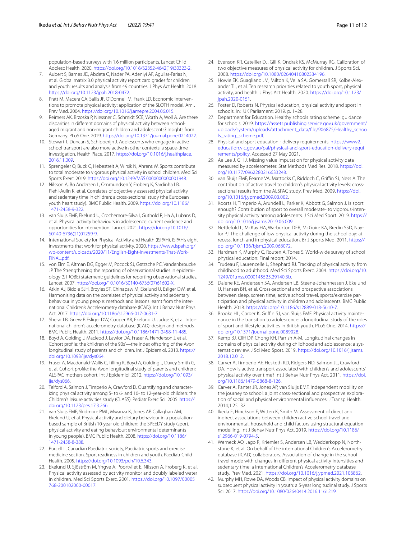population-based surveys with 1.6 million participants. Lancet Child Adolesc Health. 2020. [https://doi.org/10.1016/S2352-4642\(19\)30323-2.](https://doi.org/10.1016/S2352-4642(19)30323-2)

- <span id="page-10-0"></span>7. Aubert S, Barnes JD, Abdeta C, Nader PA, Adeniyi AF, Aguilar-Farias N, et al. Global matrix 3.0 physical activity report card grades for children and youth: results and analysis from 49 countries. J Phys Act Health. 2018. [https://doi.org/10.1123/jpah.2018-0472.](https://doi.org/10.1123/jpah.2018-0472)
- <span id="page-10-1"></span>8. Pratt M, Macera CA, Sallis JF, O'Donnell M, Frank LD. Economic interventions to promote physical activity: application of the SLOTH model. Am J Prev Med. 2004. [https://doi.org/10.1016/j.amepre.2004.06.015.](https://doi.org/10.1016/j.amepre.2004.06.015)
- <span id="page-10-2"></span>9. Reimers AK, Brzoska P, Niessner C, Schmidt SCE, Worth A, Woll A. Are there disparities in diferent domains of physical activity between schoolaged migrant and non-migrant children and adolescents? Insights from Germany. PLoS One. 2019. [https://doi.org/10.1371/journal.pone.0214022.](https://doi.org/10.1371/journal.pone.0214022)
- <span id="page-10-3"></span>10. Stewart T, Duncan S, Schipperijn J. Adolescents who engage in active school transport are also more active in other contexts: a space-time investigation. Health Place. 2017. [https://doi.org/10.1016/j.healthplace.](https://doi.org/10.1016/j.healthplace.2016.11.009) [2016.11.009](https://doi.org/10.1016/j.healthplace.2016.11.009).
- <span id="page-10-24"></span>11. Sprengeler O, Buck C, Hebestreit A, Wirsik N, Ahrens W. Sports contribute to total moderate to vigorous physical activity in school children. Med Sci Sports Exerc. 2019. <https://doi.org/10.1249/MSS.0000000000001948>.
- <span id="page-10-4"></span>12. Nilsson A, Bo Andersen L, Ommundsen Y, Froberg K, Sardinha LB, Piehl-Aulin K, et al. Correlates of objectively assessed physical activity and sedentary time in children: a cross-sectional study (the European youth heart study). BMC Public Health. 2009. [https://doi.org/10.1186/](https://doi.org/10.1186/1471-2458-9-322) [1471-2458-9-322](https://doi.org/10.1186/1471-2458-9-322).
- <span id="page-10-5"></span>13. van Sluijs EMF, Ekelund U, Crochemore-Silva I, Guthold R, Ha A, Lubans D, et al. Physical activity behaviours in adolescence: current evidence and opportunities for intervention. Lancet. 2021. [https://doi.org/10.1016/](https://doi.org/10.1016/S0140-6736(21)01259-9) [S0140-6736\(21\)01259-9](https://doi.org/10.1016/S0140-6736(21)01259-9).
- <span id="page-10-6"></span>14. International Society for Physical Activity and Health (ISPAH). ISPAH's eight investments that work for physical activity. 2020. [https://www.ispah.org/](https://www.ispah.org/wp-content/uploads/2020/11/English-Eight-Investments-That-Work-FINAL.pdf) [wp-content/uploads/2020/11/English-Eight-Investments-That-Work-](https://www.ispah.org/wp-content/uploads/2020/11/English-Eight-Investments-That-Work-FINAL.pdf)[FINAL.pdf.](https://www.ispah.org/wp-content/uploads/2020/11/English-Eight-Investments-That-Work-FINAL.pdf)
- <span id="page-10-7"></span>15. von Elm E, Altman DG, Egger M, Pocock SJ, Gøtzsche PC, Vandenbroucke JP. The Strengthening the reporting of observational studies in epidemiology (STROBE) statement: guidelines for reporting observational studies. Lancet. 2007. [https://doi.org/10.1016/S0140-6736\(07\)61602-X.](https://doi.org/10.1016/S0140-6736(07)61602-X)
- <span id="page-10-8"></span>16. Atkin AJ, Biddle SJH, Broyles ST, Chinapaw M, Ekelund U, Esliger DW, et al. Harmonising data on the correlates of physical activity and sedentary behaviour in young people: methods and lessons learnt from the international Children's Accelerometry database (ICAD). Int J Behav Nutr Phys Act. 2017.<https://doi.org/10.1186/s12966-017-0631-7>.
- <span id="page-10-9"></span>17. Sherar LB, Griew P, Esliger DW, Cooper AR, Ekelund U, Judge K, et al. International children's accelerometry database (ICAD): design and methods. BMC Public Health. 2011.<https://doi.org/10.1186/1471-2458-11-485>.
- <span id="page-10-10"></span>18. Boyd A, Golding J, Macleod J, Lawlor DA, Fraser A, Henderson J, et al. Cohort profle: the 'children of the 90s'—the index ofspring of the Avon longitudinal study of parents and children. Int J Epidemiol. 2013. [https://](https://doi.org/10.1093/ije/dys064) [doi.org/10.1093/ije/dys064.](https://doi.org/10.1093/ije/dys064)
- <span id="page-10-11"></span>19. Fraser A, Macdonald-Wallis C, Tilling K, Boyd A, Golding J, Davey Smith G, et al. Cohort profle: the Avon longitudinal study of parents and children: ALSPAC mothers cohort. Int J Epidemiol. 2012. [https://doi.org/10.1093/](https://doi.org/10.1093/ije/dys066) [ije/dys066](https://doi.org/10.1093/ije/dys066).
- <span id="page-10-12"></span>20. Telford A, Salmon J, Timperio A, Crawford D. Quantifying and characterizing physical activity among 5- to 6- and 10- to 12-year-old children: the Children's leisure activities study (CLASS). Pediatr Exerc Sci. 2005. [https://](https://doi.org/10.1123/pes.17.3.266) [doi.org/10.1123/pes.17.3.266.](https://doi.org/10.1123/pes.17.3.266)
- <span id="page-10-13"></span>21. van Sluijs EMF, Skidmore PML, Mwanza K, Jones AP, Callaghan AM, Ekelund U, et al. Physical activity and dietary behaviour in a populationbased sample of British 10-year old children: the SPEEDY study (sport, physical activity and eating behaviour: environmental determinants in young people). BMC Public Health. 2008. [https://doi.org/10.1186/](https://doi.org/10.1186/1471-2458-8-388) [1471-2458-8-388](https://doi.org/10.1186/1471-2458-8-388).
- <span id="page-10-14"></span>22. Purcell L. Canadian Paediatric society, Paediatric sports and exercise medicine section. Sport readiness in children and youth. Paediatr Child Health. 2005. <https://doi.org/10.1093/pch/10.6.343>.
- <span id="page-10-15"></span>23. Ekelund U, Sjöström M, Yngve A, Poortvliet E, Nilsson A, Froberg K, et al. Physical activity assessed by activity monitor and doubly labeled water in children. Med Sci Sports Exerc. 2001. [https://doi.org/10.1097/00005](https://doi.org/10.1097/00005768-200102000-00017) [768-200102000-00017](https://doi.org/10.1097/00005768-200102000-00017).
- <span id="page-10-16"></span>24. Evenson KR, Catellier DJ, Gill K, Ondrak KS, McMurray RG. Calibration of two objective measures of physical activity for children. J Sports Sci. 2008. <https://doi.org/10.1080/02640410802334196>.
- <span id="page-10-17"></span>25. Howie EK, Guagliano JM, Milton K, Vella SA, Gomersall SR, Kolbe-Alexander TL, et al. Ten research priorities related to youth sport, physical activity, and health. J Phys Act Health. 2020. [https://doi.org/10.1123/](https://doi.org/10.1123/jpah.2020-0151) [jpah.2020-0151](https://doi.org/10.1123/jpah.2020-0151).
- <span id="page-10-18"></span>26. Foster D, Roberts N. Physical education, physical activity and sport in schools. In: UK Parliament; 2019. p. 1–28.
- 27. Department for Education. Healthy schools rating scheme: guidance for schools. 2019. [https://assets.publishing.service.gov.uk/government/](https://assets.publishing.service.gov.uk/government/uploads/system/uploads/attachment_data/file/906875/Healthy_schools_rating_scheme.pdf) [uploads/system/uploads/attachment\\_data/fle/906875/Healthy\\_schoo](https://assets.publishing.service.gov.uk/government/uploads/system/uploads/attachment_data/file/906875/Healthy_schools_rating_scheme.pdf) [ls\\_rating\\_scheme.pdf](https://assets.publishing.service.gov.uk/government/uploads/system/uploads/attachment_data/file/906875/Healthy_schools_rating_scheme.pdf).
- <span id="page-10-19"></span>28. Physical and sport education - delivery requirements. [https://www2.](https://www2.education.vic.gov.au/pal/physical-and-sport-education-delivery-requirements/policy) [education.vic.gov.au/pal/physical-and-sport-education-delivery-requi](https://www2.education.vic.gov.au/pal/physical-and-sport-education-delivery-requirements/policy) [rements/policy](https://www2.education.vic.gov.au/pal/physical-and-sport-education-delivery-requirements/policy). Accessed 27 May 2021.
- <span id="page-10-20"></span>29. Ae Lee J, Gill J. Missing value imputation for physical activity data measured by accelerometer. Stat Methods Med Res. 2018. [https://doi.](https://doi.org/10.1177/0962280216633248) [org/10.1177/0962280216633248.](https://doi.org/10.1177/0962280216633248)
- <span id="page-10-21"></span>30. van Sluijs EMF, Fearne VA, Mattocks C, Riddoch C, Griffin SJ, Ness A. The contribution of active travel to children's physical activity levels: crosssectional results from the ALSPAC study. Prev Med. 2009. [https://doi.](https://doi.org/10.1016/j.ypmed.2009.03.002) [org/10.1016/j.ypmed.2009.03.002.](https://doi.org/10.1016/j.ypmed.2009.03.002)
- <span id="page-10-22"></span>31. Koorts H, Timperio A, Arundell L, Parker K, Abbott G, Salmon J. Is sport enough? Contribution of sport to overall moderate- to vigorous-intensity physical activity among adolescents. J Sci Med Sport. 2019. [https://](https://doi.org/10.1016/j.jsams.2019.06.009) [doi.org/10.1016/j.jsams.2019.06.009](https://doi.org/10.1016/j.jsams.2019.06.009).
- <span id="page-10-23"></span>32. Nettlefold L, McKay HA, Warburton DER, McGuire KA, Bredin SSD, Naylor PJ. The challenge of low physical activity during the school day: at recess, lunch and in physical education. Br J Sports Med. 2011. [https://](https://doi.org/10.1136/bjsm.2009.068072) [doi.org/10.1136/bjsm.2009.068072.](https://doi.org/10.1136/bjsm.2009.068072)
- <span id="page-10-25"></span>33. Hardman K, Murphy C, Routen A, Tones S. World-wide survey of school physical education: Final report; 2014.
- <span id="page-10-26"></span>34. Trudeau F, Laurencelle L, Shephard RJ. Tracking of physical activity from childhood to adulthood. Med Sci Sports Exerc. 2004. [https://doi.org/10.](https://doi.org/10.1249/01.mss.0000145525.29140.3b) [1249/01.mss.0000145525.29140.3b](https://doi.org/10.1249/01.mss.0000145525.29140.3b).
- <span id="page-10-27"></span>35. Dalene KE, Anderssen SA, Andersen LB, Steene-Johannessen J, Ekelund U, Hansen BH, et al. Cross-sectional and prospective associations between sleep, screen time, active school travel, sports/exercise participation and physical activity in children and adolescents. BMC Public Health. 2018. [https://doi.org/10.1186/s12889-018-5610-7.](https://doi.org/10.1186/s12889-018-5610-7)
- <span id="page-10-28"></span>36. Brooke HL, Corder K, Griffin SJ, van Sluijs EMF. Physical activity maintenance in the transition to adolescence: a longitudinal study of the roles of sport and lifestyle activities in British youth. PLoS One. 2014. [https://](https://doi.org/10.1371/journal.pone.0089028) [doi.org/10.1371/journal.pone.0089028.](https://doi.org/10.1371/journal.pone.0089028)
- <span id="page-10-29"></span>37. Kemp BJ, Cliff DP, Chong KH, Parrish A-M. Longitudinal changes in domains of physical activity during childhood and adolescence: a systematic review. J Sci Med Sport. 2019. [https://doi.org/10.1016/j.jsams.](https://doi.org/10.1016/j.jsams.2018.12.012) [2018.12.012](https://doi.org/10.1016/j.jsams.2018.12.012).
- <span id="page-10-30"></span>38. Carver A, Timperio AF, Hesketh KD, Ridgers ND, Salmon JL, Crawford DA. How is active transport associated with children's and adolescents' physical activity over time? Int J Behav Nutr Phys Act. 2011. [https://doi.](https://doi.org/10.1186/1479-5868-8-126) [org/10.1186/1479-5868-8-126.](https://doi.org/10.1186/1479-5868-8-126)
- 39. Carver A, Panter JR, Jones AP, van Sluijs EMF. Independent mobility on the journey to school: a joint cross-sectional and prospective exploration of social and physical environmental infuences. J Transp Health. 2014;1:25–32.
- <span id="page-10-31"></span>40. Ikeda E, Hinckson E, Witten K, Smith M. Assessment of direct and indirect associations between children active school travel and environmental, household and child factors using structural equation modelling. Int J Behav Nutr Phys Act. 2019. [https://doi.org/10.1186/](https://doi.org/10.1186/s12966-019-0794-5) [s12966-019-0794-5.](https://doi.org/10.1186/s12966-019-0794-5)
- <span id="page-10-32"></span>41. Werneck AO, Jago R, Kriemler S, Andersen LB, Wedderkopp N, Northstone K, et al. On behalf of the international Children's Accelerometry database (ICAD) collaborators. Association of change in the school travel mode with changes in diferent physical activity intensities and sedentary time: a international Children's Accelerometry database study. Prev Med. 2021. <https://doi.org/10.1016/j.ypmed.2021.106862>.
- <span id="page-10-33"></span>42. Murphy MH, Rowe DA, Woods CB. Impact of physical activity domains on subsequent physical activity in youth: a 5-year longitudinal study. J Sports Sci. 2017. [https://doi.org/10.1080/02640414.2016.1161219.](https://doi.org/10.1080/02640414.2016.1161219)